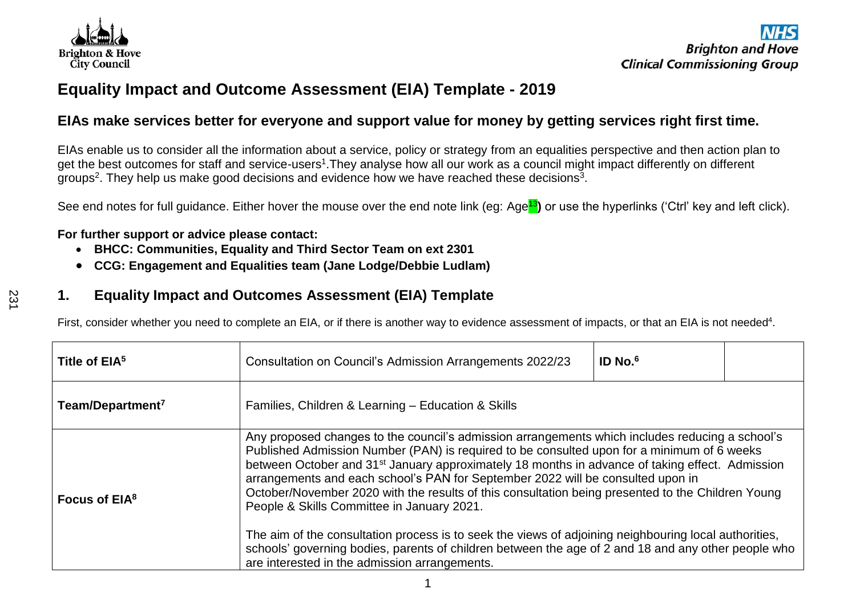

# **Equality Impact and Outcome Assessment (EIA) Template - 2019**

## **EIAs make services better for everyone and support value for money by getting services right first time.**

EIAs enable us to consider all the information about a service, policy or strategy from an equalities perspective and then action plan to get the best outcomes for staff and service-users<sup>1</sup>.They analyse how all our work as a council might impact differently on different groups<sup>2</sup>. They help us make good decisions and evidence how we have reached these decisions<sup>3</sup>.

See end notes for full guidance. Either hover the mouse over the end note link (eg: Age<mark>13</mark>) or use the hyperlinks ('Ctrl' key and left click).

#### **For further support or advice please contact:**

- **BHCC: Communities, Equality and Third Sector Team on ext 2301**
- **CCG: Engagement and Equalities team (Jane Lodge/Debbie Ludlam)**

## **1. Equality Impact and Outcomes Assessment (EIA) Template**

First, consider whether you need to complete an EIA, or if there is another way to evidence assessment of impacts, or that an EIA is not needed<sup>4</sup>.

| Title of EIA <sup>5</sup>    | Consultation on Council's Admission Arrangements 2022/23                                                                                                                                                                                                                                                                                                                                                                                                                                                                                                                                                                                                                                                                                                                                                            | ID No. $6$ |  |  |  |  |
|------------------------------|---------------------------------------------------------------------------------------------------------------------------------------------------------------------------------------------------------------------------------------------------------------------------------------------------------------------------------------------------------------------------------------------------------------------------------------------------------------------------------------------------------------------------------------------------------------------------------------------------------------------------------------------------------------------------------------------------------------------------------------------------------------------------------------------------------------------|------------|--|--|--|--|
| Team/Department <sup>7</sup> | Families, Children & Learning - Education & Skills                                                                                                                                                                                                                                                                                                                                                                                                                                                                                                                                                                                                                                                                                                                                                                  |            |  |  |  |  |
| Focus of EIA <sup>8</sup>    | Any proposed changes to the council's admission arrangements which includes reducing a school's<br>Published Admission Number (PAN) is required to be consulted upon for a minimum of 6 weeks<br>between October and 31 <sup>st</sup> January approximately 18 months in advance of taking effect. Admission<br>arrangements and each school's PAN for September 2022 will be consulted upon in<br>October/November 2020 with the results of this consultation being presented to the Children Young<br>People & Skills Committee in January 2021.<br>The aim of the consultation process is to seek the views of adjoining neighbouring local authorities,<br>schools' governing bodies, parents of children between the age of 2 and 18 and any other people who<br>are interested in the admission arrangements. |            |  |  |  |  |

1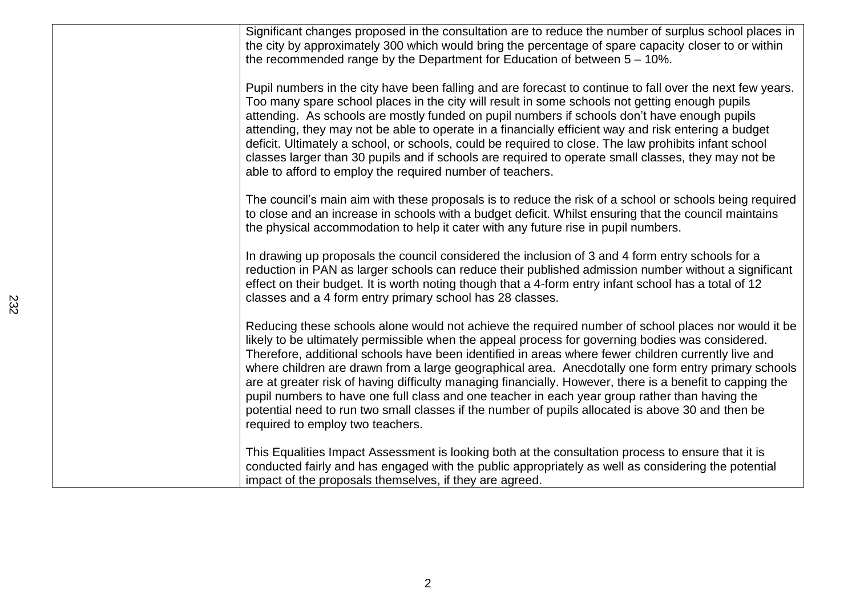| Significant changes proposed in the consultation are to reduce the number of surplus school places in<br>the city by approximately 300 which would bring the percentage of spare capacity closer to or within<br>the recommended range by the Department for Education of between $5 - 10\%$ .                                                                                                                                                                                                                                                                                                                                                                                                                                                                                |
|-------------------------------------------------------------------------------------------------------------------------------------------------------------------------------------------------------------------------------------------------------------------------------------------------------------------------------------------------------------------------------------------------------------------------------------------------------------------------------------------------------------------------------------------------------------------------------------------------------------------------------------------------------------------------------------------------------------------------------------------------------------------------------|
| Pupil numbers in the city have been falling and are forecast to continue to fall over the next few years.<br>Too many spare school places in the city will result in some schools not getting enough pupils<br>attending. As schools are mostly funded on pupil numbers if schools don't have enough pupils<br>attending, they may not be able to operate in a financially efficient way and risk entering a budget<br>deficit. Ultimately a school, or schools, could be required to close. The law prohibits infant school<br>classes larger than 30 pupils and if schools are required to operate small classes, they may not be<br>able to afford to employ the required number of teachers.                                                                              |
| The council's main aim with these proposals is to reduce the risk of a school or schools being required<br>to close and an increase in schools with a budget deficit. Whilst ensuring that the council maintains<br>the physical accommodation to help it cater with any future rise in pupil numbers.                                                                                                                                                                                                                                                                                                                                                                                                                                                                        |
| In drawing up proposals the council considered the inclusion of 3 and 4 form entry schools for a<br>reduction in PAN as larger schools can reduce their published admission number without a significant<br>effect on their budget. It is worth noting though that a 4-form entry infant school has a total of 12<br>classes and a 4 form entry primary school has 28 classes.                                                                                                                                                                                                                                                                                                                                                                                                |
| Reducing these schools alone would not achieve the required number of school places nor would it be<br>likely to be ultimately permissible when the appeal process for governing bodies was considered.<br>Therefore, additional schools have been identified in areas where fewer children currently live and<br>where children are drawn from a large geographical area. Anecdotally one form entry primary schools<br>are at greater risk of having difficulty managing financially. However, there is a benefit to capping the<br>pupil numbers to have one full class and one teacher in each year group rather than having the<br>potential need to run two small classes if the number of pupils allocated is above 30 and then be<br>required to employ two teachers. |
| This Equalities Impact Assessment is looking both at the consultation process to ensure that it is<br>conducted fairly and has engaged with the public appropriately as well as considering the potential<br>impact of the proposals themselves, if they are agreed.                                                                                                                                                                                                                                                                                                                                                                                                                                                                                                          |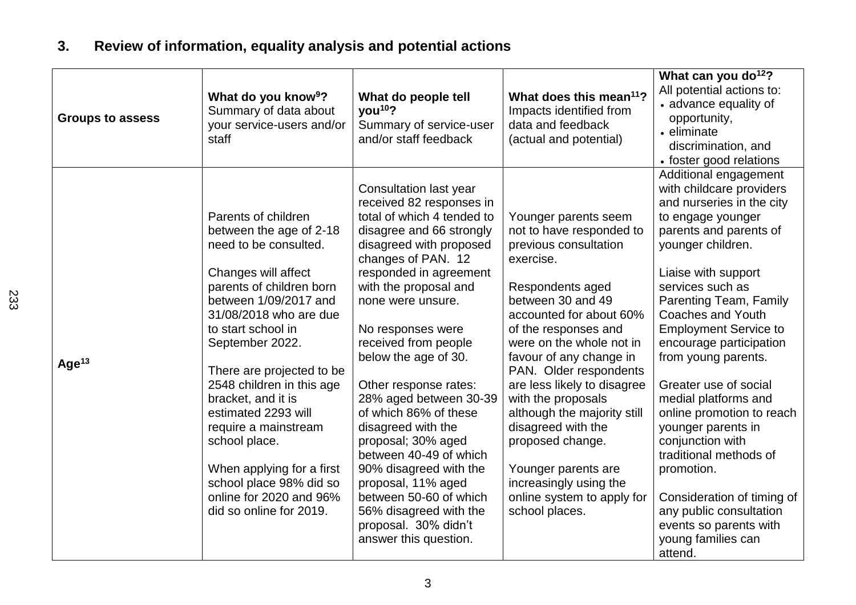# **3. Review of information, equality analysis and potential actions**

| <b>Groups to assess</b> | What do you know <sup>9</sup> ?<br>Summary of data about<br>your service-users and/or<br>staff                                                                                                                                                                                                                                                                                                                                                                                       | What do people tell<br>you <sup>10</sup> ?<br>Summary of service-user<br>and/or staff feedback                                                                                                                                                                                                                                                                                                                                                                                                                                                                                                                    | What does this mean <sup>11</sup> ?<br>Impacts identified from<br>data and feedback<br>(actual and potential)                                                                                                                                                                                                                                                                                                                                                                                      | What can you do <sup>12</sup> ?<br>All potential actions to:<br>• advance equality of<br>opportunity,<br>• eliminate<br>discrimination, and<br>• foster good relations                                                                                                                                                                                                                                                                                                                                                                                                                                                           |
|-------------------------|--------------------------------------------------------------------------------------------------------------------------------------------------------------------------------------------------------------------------------------------------------------------------------------------------------------------------------------------------------------------------------------------------------------------------------------------------------------------------------------|-------------------------------------------------------------------------------------------------------------------------------------------------------------------------------------------------------------------------------------------------------------------------------------------------------------------------------------------------------------------------------------------------------------------------------------------------------------------------------------------------------------------------------------------------------------------------------------------------------------------|----------------------------------------------------------------------------------------------------------------------------------------------------------------------------------------------------------------------------------------------------------------------------------------------------------------------------------------------------------------------------------------------------------------------------------------------------------------------------------------------------|----------------------------------------------------------------------------------------------------------------------------------------------------------------------------------------------------------------------------------------------------------------------------------------------------------------------------------------------------------------------------------------------------------------------------------------------------------------------------------------------------------------------------------------------------------------------------------------------------------------------------------|
| Age <sup>13</sup>       | Parents of children<br>between the age of 2-18<br>need to be consulted.<br>Changes will affect<br>parents of children born<br>between 1/09/2017 and<br>31/08/2018 who are due<br>to start school in<br>September 2022.<br>There are projected to be<br>2548 children in this age<br>bracket, and it is<br>estimated 2293 will<br>require a mainstream<br>school place.<br>When applying for a first<br>school place 98% did so<br>online for 2020 and 96%<br>did so online for 2019. | Consultation last year<br>received 82 responses in<br>total of which 4 tended to<br>disagree and 66 strongly<br>disagreed with proposed<br>changes of PAN. 12<br>responded in agreement<br>with the proposal and<br>none were unsure.<br>No responses were<br>received from people<br>below the age of 30.<br>Other response rates:<br>28% aged between 30-39<br>of which 86% of these<br>disagreed with the<br>proposal; 30% aged<br>between 40-49 of which<br>90% disagreed with the<br>proposal, 11% aged<br>between 50-60 of which<br>56% disagreed with the<br>proposal. 30% didn't<br>answer this question. | Younger parents seem<br>not to have responded to<br>previous consultation<br>exercise.<br>Respondents aged<br>between 30 and 49<br>accounted for about 60%<br>of the responses and<br>were on the whole not in<br>favour of any change in<br>PAN. Older respondents<br>are less likely to disagree<br>with the proposals<br>although the majority still<br>disagreed with the<br>proposed change.<br>Younger parents are<br>increasingly using the<br>online system to apply for<br>school places. | Additional engagement<br>with childcare providers<br>and nurseries in the city<br>to engage younger<br>parents and parents of<br>younger children.<br>Liaise with support<br>services such as<br><b>Parenting Team, Family</b><br><b>Coaches and Youth</b><br><b>Employment Service to</b><br>encourage participation<br>from young parents.<br>Greater use of social<br>medial platforms and<br>online promotion to reach<br>younger parents in<br>conjunction with<br>traditional methods of<br>promotion.<br>Consideration of timing of<br>any public consultation<br>events so parents with<br>young families can<br>attend. |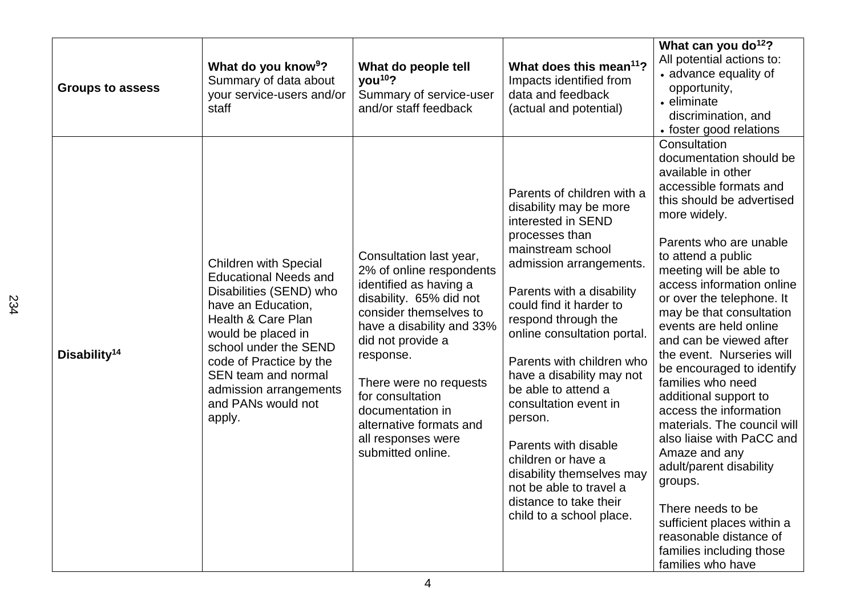| <b>Groups to assess</b>  | What do you know <sup>9</sup> ?<br>Summary of data about<br>your service-users and/or<br>staff                                                                                                                                                                                                 | What do people tell<br>you <sup>10</sup> ?<br>Summary of service-user<br>and/or staff feedback                                                                                                                                                                                                                                            | What does this mean <sup>11</sup> ?<br>Impacts identified from<br>data and feedback<br>(actual and potential)                                                                                                                                                                                                                                                                                                                                                                                                                               | What can you do <sup>12</sup> ?<br>All potential actions to:<br>• advance equality of<br>opportunity,<br>• eliminate<br>discrimination, and<br>• foster good relations                                                                                                                                                                                                                                                                                                                                                                                                                                                                                                                                                                        |
|--------------------------|------------------------------------------------------------------------------------------------------------------------------------------------------------------------------------------------------------------------------------------------------------------------------------------------|-------------------------------------------------------------------------------------------------------------------------------------------------------------------------------------------------------------------------------------------------------------------------------------------------------------------------------------------|---------------------------------------------------------------------------------------------------------------------------------------------------------------------------------------------------------------------------------------------------------------------------------------------------------------------------------------------------------------------------------------------------------------------------------------------------------------------------------------------------------------------------------------------|-----------------------------------------------------------------------------------------------------------------------------------------------------------------------------------------------------------------------------------------------------------------------------------------------------------------------------------------------------------------------------------------------------------------------------------------------------------------------------------------------------------------------------------------------------------------------------------------------------------------------------------------------------------------------------------------------------------------------------------------------|
| Disability <sup>14</sup> | <b>Children with Special</b><br><b>Educational Needs and</b><br>Disabilities (SEND) who<br>have an Education,<br>Health & Care Plan<br>would be placed in<br>school under the SEND<br>code of Practice by the<br>SEN team and normal<br>admission arrangements<br>and PANs would not<br>apply. | Consultation last year,<br>2% of online respondents<br>identified as having a<br>disability. 65% did not<br>consider themselves to<br>have a disability and 33%<br>did not provide a<br>response.<br>There were no requests<br>for consultation<br>documentation in<br>alternative formats and<br>all responses were<br>submitted online. | Parents of children with a<br>disability may be more<br>interested in SEND<br>processes than<br>mainstream school<br>admission arrangements.<br>Parents with a disability<br>could find it harder to<br>respond through the<br>online consultation portal.<br>Parents with children who<br>have a disability may not<br>be able to attend a<br>consultation event in<br>person.<br>Parents with disable<br>children or have a<br>disability themselves may<br>not be able to travel a<br>distance to take their<br>child to a school place. | Consultation<br>documentation should be<br>available in other<br>accessible formats and<br>this should be advertised<br>more widely.<br>Parents who are unable<br>to attend a public<br>meeting will be able to<br>access information online<br>or over the telephone. It<br>may be that consultation<br>events are held online<br>and can be viewed after<br>the event. Nurseries will<br>be encouraged to identify<br>families who need<br>additional support to<br>access the information<br>materials. The council will<br>also liaise with PaCC and<br>Amaze and any<br>adult/parent disability<br>groups.<br>There needs to be<br>sufficient places within a<br>reasonable distance of<br>families including those<br>families who have |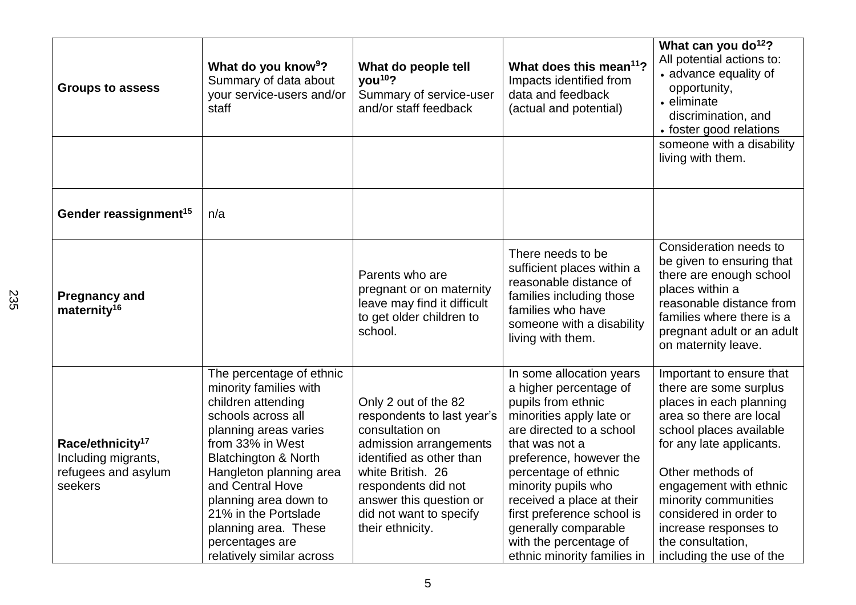| <b>Groups to assess</b>                                                               | What do you know <sup>9</sup> ?<br>Summary of data about<br>your service-users and/or<br>staff                                                                                                                                                                                                                                                         | What do people tell<br>you <sup>10</sup> ?<br>Summary of service-user<br>and/or staff feedback                                                                                                                                                    | What does this mean <sup>11</sup> ?<br>Impacts identified from<br>data and feedback<br>(actual and potential)                                                                                                                                                                                                                                                            | What can you do <sup>12</sup> ?<br>All potential actions to:<br>• advance equality of<br>opportunity,<br>• eliminate<br>discrimination, and<br>• foster good relations<br>someone with a disability<br>living with them.                                                                                                                  |
|---------------------------------------------------------------------------------------|--------------------------------------------------------------------------------------------------------------------------------------------------------------------------------------------------------------------------------------------------------------------------------------------------------------------------------------------------------|---------------------------------------------------------------------------------------------------------------------------------------------------------------------------------------------------------------------------------------------------|--------------------------------------------------------------------------------------------------------------------------------------------------------------------------------------------------------------------------------------------------------------------------------------------------------------------------------------------------------------------------|-------------------------------------------------------------------------------------------------------------------------------------------------------------------------------------------------------------------------------------------------------------------------------------------------------------------------------------------|
| Gender reassignment <sup>15</sup>                                                     | n/a                                                                                                                                                                                                                                                                                                                                                    |                                                                                                                                                                                                                                                   |                                                                                                                                                                                                                                                                                                                                                                          |                                                                                                                                                                                                                                                                                                                                           |
| <b>Pregnancy and</b><br>maternity <sup>16</sup>                                       |                                                                                                                                                                                                                                                                                                                                                        | Parents who are<br>pregnant or on maternity<br>leave may find it difficult<br>to get older children to<br>school.                                                                                                                                 | There needs to be<br>sufficient places within a<br>reasonable distance of<br>families including those<br>families who have<br>someone with a disability<br>living with them.                                                                                                                                                                                             | Consideration needs to<br>be given to ensuring that<br>there are enough school<br>places within a<br>reasonable distance from<br>families where there is a<br>pregnant adult or an adult<br>on maternity leave.                                                                                                                           |
| Race/ethnicity <sup>17</sup><br>Including migrants,<br>refugees and asylum<br>seekers | The percentage of ethnic<br>minority families with<br>children attending<br>schools across all<br>planning areas varies<br>from 33% in West<br><b>Blatchington &amp; North</b><br>Hangleton planning area<br>and Central Hove<br>planning area down to<br>21% in the Portslade<br>planning area. These<br>percentages are<br>relatively similar across | Only 2 out of the 82<br>respondents to last year's<br>consultation on<br>admission arrangements<br>identified as other than<br>white British. 26<br>respondents did not<br>answer this question or<br>did not want to specify<br>their ethnicity. | In some allocation years<br>a higher percentage of<br>pupils from ethnic<br>minorities apply late or<br>are directed to a school<br>that was not a<br>preference, however the<br>percentage of ethnic<br>minority pupils who<br>received a place at their<br>first preference school is<br>generally comparable<br>with the percentage of<br>ethnic minority families in | Important to ensure that<br>there are some surplus<br>places in each planning<br>area so there are local<br>school places available<br>for any late applicants.<br>Other methods of<br>engagement with ethnic<br>minority communities<br>considered in order to<br>increase responses to<br>the consultation,<br>including the use of the |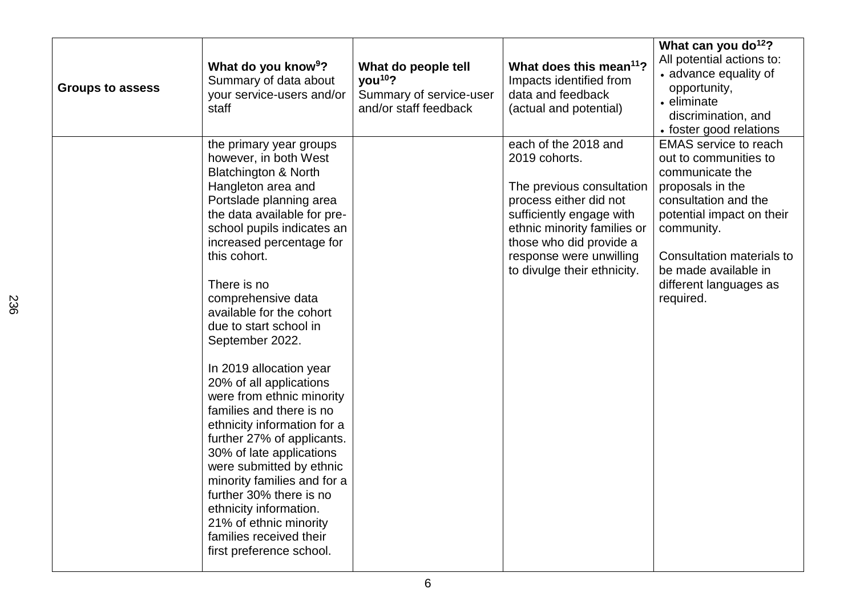| <b>Groups to assess</b> | What do you know <sup>9</sup> ?<br>Summary of data about<br>your service-users and/or<br>staff                                                                                                                                                                                                                                                                                                                                                                                                                                                                                                                                                                                                                                                                       | What do people tell<br>you <sup>10</sup> ?<br>Summary of service-user<br>and/or staff feedback | What does this mean <sup>11</sup> ?<br>Impacts identified from<br>data and feedback<br>(actual and potential)                                                                                                                                | What can you do <sup>12</sup> ?<br>All potential actions to:<br>• advance equality of<br>opportunity,<br>• eliminate<br>discrimination, and<br>• foster good relations                                                                                      |
|-------------------------|----------------------------------------------------------------------------------------------------------------------------------------------------------------------------------------------------------------------------------------------------------------------------------------------------------------------------------------------------------------------------------------------------------------------------------------------------------------------------------------------------------------------------------------------------------------------------------------------------------------------------------------------------------------------------------------------------------------------------------------------------------------------|------------------------------------------------------------------------------------------------|----------------------------------------------------------------------------------------------------------------------------------------------------------------------------------------------------------------------------------------------|-------------------------------------------------------------------------------------------------------------------------------------------------------------------------------------------------------------------------------------------------------------|
|                         | the primary year groups<br>however, in both West<br><b>Blatchington &amp; North</b><br>Hangleton area and<br>Portslade planning area<br>the data available for pre-<br>school pupils indicates an<br>increased percentage for<br>this cohort.<br>There is no<br>comprehensive data<br>available for the cohort<br>due to start school in<br>September 2022.<br>In 2019 allocation year<br>20% of all applications<br>were from ethnic minority<br>families and there is no<br>ethnicity information for a<br>further 27% of applicants.<br>30% of late applications<br>were submitted by ethnic<br>minority families and for a<br>further 30% there is no<br>ethnicity information.<br>21% of ethnic minority<br>families received their<br>first preference school. |                                                                                                | each of the 2018 and<br>2019 cohorts.<br>The previous consultation<br>process either did not<br>sufficiently engage with<br>ethnic minority families or<br>those who did provide a<br>response were unwilling<br>to divulge their ethnicity. | <b>EMAS</b> service to reach<br>out to communities to<br>communicate the<br>proposals in the<br>consultation and the<br>potential impact on their<br>community.<br>Consultation materials to<br>be made available in<br>different languages as<br>required. |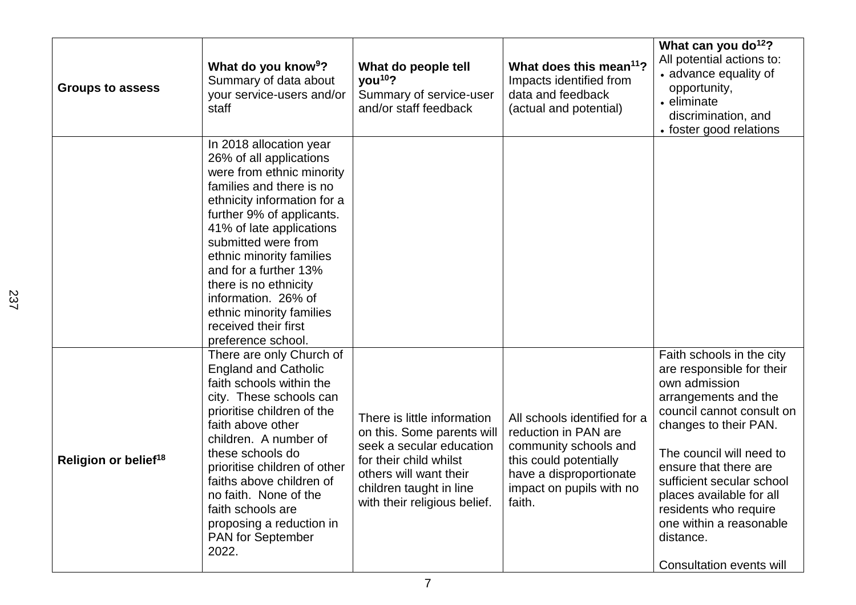| <b>Groups to assess</b>          | What do you know <sup>9</sup> ?<br>Summary of data about<br>your service-users and/or<br>staff                                                                                                                                                                                                                                                                                                            | What do people tell<br>you <sup>10</sup> ?<br>Summary of service-user<br>and/or staff feedback                                                                                                       | What does this mean <sup>11</sup> ?<br>Impacts identified from<br>data and feedback<br>(actual and potential)                                                            | What can you do <sup>12</sup> ?<br>All potential actions to:<br>• advance equality of<br>opportunity,<br>• eliminate<br>discrimination, and<br>• foster good relations                                                                                                                                                                                                  |
|----------------------------------|-----------------------------------------------------------------------------------------------------------------------------------------------------------------------------------------------------------------------------------------------------------------------------------------------------------------------------------------------------------------------------------------------------------|------------------------------------------------------------------------------------------------------------------------------------------------------------------------------------------------------|--------------------------------------------------------------------------------------------------------------------------------------------------------------------------|-------------------------------------------------------------------------------------------------------------------------------------------------------------------------------------------------------------------------------------------------------------------------------------------------------------------------------------------------------------------------|
|                                  | In 2018 allocation year<br>26% of all applications<br>were from ethnic minority<br>families and there is no<br>ethnicity information for a<br>further 9% of applicants.<br>41% of late applications<br>submitted were from<br>ethnic minority families<br>and for a further 13%<br>there is no ethnicity<br>information. 26% of<br>ethnic minority families<br>received their first<br>preference school. |                                                                                                                                                                                                      |                                                                                                                                                                          |                                                                                                                                                                                                                                                                                                                                                                         |
| Religion or belief <sup>18</sup> | There are only Church of<br><b>England and Catholic</b><br>faith schools within the<br>city. These schools can<br>prioritise children of the<br>faith above other<br>children. A number of<br>these schools do<br>prioritise children of other<br>faiths above children of<br>no faith. None of the<br>faith schools are<br>proposing a reduction in<br><b>PAN</b> for September<br>2022.                 | There is little information<br>on this. Some parents will<br>seek a secular education<br>for their child whilst<br>others will want their<br>children taught in line<br>with their religious belief. | All schools identified for a<br>reduction in PAN are<br>community schools and<br>this could potentially<br>have a disproportionate<br>impact on pupils with no<br>faith. | Faith schools in the city<br>are responsible for their<br>own admission<br>arrangements and the<br>council cannot consult on<br>changes to their PAN.<br>The council will need to<br>ensure that there are<br>sufficient secular school<br>places available for all<br>residents who require<br>one within a reasonable<br>distance.<br><b>Consultation events will</b> |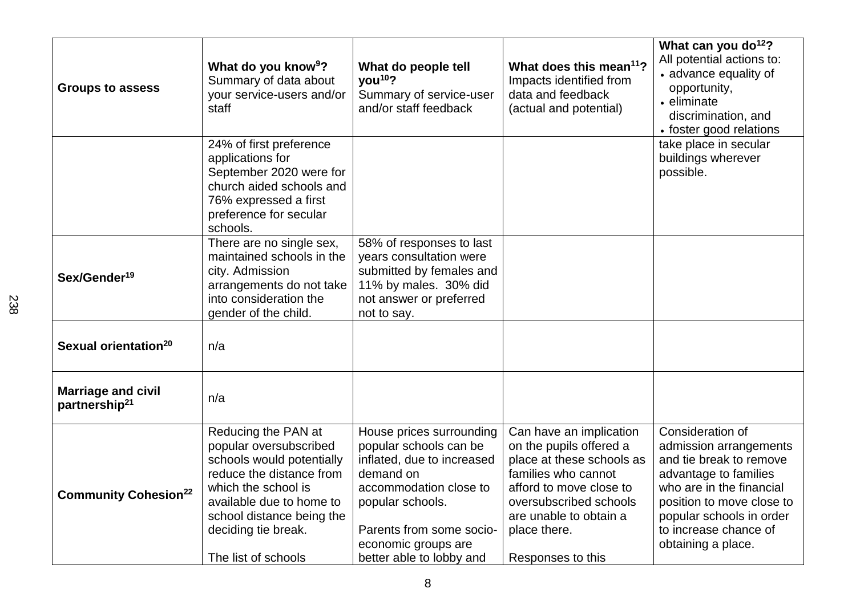| <b>Groups to assess</b>                                | What do you know <sup>9</sup> ?<br>Summary of data about<br>your service-users and/or<br>staff                                                                                                                                       | What do people tell<br>you <sup>10</sup> ?<br>Summary of service-user<br>and/or staff feedback                                                                                                                             | What does this mean <sup>11</sup> ?<br>Impacts identified from<br>data and feedback<br>(actual and potential)                                                                                                              | What can you do <sup>12</sup> ?<br>All potential actions to:<br>• advance equality of<br>opportunity,<br>• eliminate<br>discrimination, and<br>• foster good relations                                                             |
|--------------------------------------------------------|--------------------------------------------------------------------------------------------------------------------------------------------------------------------------------------------------------------------------------------|----------------------------------------------------------------------------------------------------------------------------------------------------------------------------------------------------------------------------|----------------------------------------------------------------------------------------------------------------------------------------------------------------------------------------------------------------------------|------------------------------------------------------------------------------------------------------------------------------------------------------------------------------------------------------------------------------------|
|                                                        | 24% of first preference<br>applications for<br>September 2020 were for<br>church aided schools and<br>76% expressed a first<br>preference for secular<br>schools.                                                                    |                                                                                                                                                                                                                            |                                                                                                                                                                                                                            | take place in secular<br>buildings wherever<br>possible.                                                                                                                                                                           |
| Sex/Gender <sup>19</sup>                               | There are no single sex,<br>maintained schools in the<br>city. Admission<br>arrangements do not take<br>into consideration the<br>gender of the child.                                                                               | 58% of responses to last<br>years consultation were<br>submitted by females and<br>11% by males. 30% did<br>not answer or preferred<br>not to say.                                                                         |                                                                                                                                                                                                                            |                                                                                                                                                                                                                                    |
| Sexual orientation <sup>20</sup>                       | n/a                                                                                                                                                                                                                                  |                                                                                                                                                                                                                            |                                                                                                                                                                                                                            |                                                                                                                                                                                                                                    |
| <b>Marriage and civil</b><br>partnership <sup>21</sup> | n/a                                                                                                                                                                                                                                  |                                                                                                                                                                                                                            |                                                                                                                                                                                                                            |                                                                                                                                                                                                                                    |
| <b>Community Cohesion<sup>22</sup></b>                 | Reducing the PAN at<br>popular oversubscribed<br>schools would potentially<br>reduce the distance from<br>which the school is<br>available due to home to<br>school distance being the<br>deciding tie break.<br>The list of schools | House prices surrounding<br>popular schools can be<br>inflated, due to increased<br>demand on<br>accommodation close to<br>popular schools.<br>Parents from some socio-<br>economic groups are<br>better able to lobby and | Can have an implication<br>on the pupils offered a<br>place at these schools as<br>families who cannot<br>afford to move close to<br>oversubscribed schools<br>are unable to obtain a<br>place there.<br>Responses to this | Consideration of<br>admission arrangements<br>and tie break to remove<br>advantage to families<br>who are in the financial<br>position to move close to<br>popular schools in order<br>to increase chance of<br>obtaining a place. |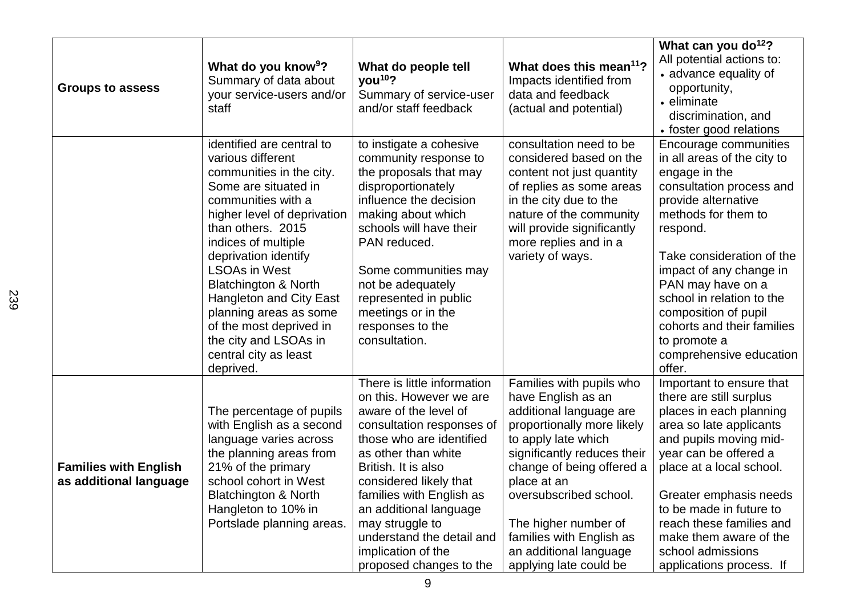| <b>Groups to assess</b>                                | What do you know <sup>9</sup> ?<br>Summary of data about<br>your service-users and/or<br>staff                                                                                                                                                                                                                                                                                                                                               | What do people tell<br>you <sup>10</sup> ?<br>Summary of service-user<br>and/or staff feedback                                                                                                                                                                                                                                                                          | What does this mean <sup>11</sup> ?<br>Impacts identified from<br>data and feedback<br>(actual and potential)                                                                                                                                                                                                                               | What can you do <sup>12</sup> ?<br>All potential actions to:<br>• advance equality of<br>opportunity,<br>• eliminate<br>discrimination, and<br>• foster good relations                                                                                                                                                                                                           |
|--------------------------------------------------------|----------------------------------------------------------------------------------------------------------------------------------------------------------------------------------------------------------------------------------------------------------------------------------------------------------------------------------------------------------------------------------------------------------------------------------------------|-------------------------------------------------------------------------------------------------------------------------------------------------------------------------------------------------------------------------------------------------------------------------------------------------------------------------------------------------------------------------|---------------------------------------------------------------------------------------------------------------------------------------------------------------------------------------------------------------------------------------------------------------------------------------------------------------------------------------------|----------------------------------------------------------------------------------------------------------------------------------------------------------------------------------------------------------------------------------------------------------------------------------------------------------------------------------------------------------------------------------|
|                                                        | identified are central to<br>various different<br>communities in the city.<br>Some are situated in<br>communities with a<br>higher level of deprivation<br>than others. 2015<br>indices of multiple<br>deprivation identify<br><b>LSOAs in West</b><br><b>Blatchington &amp; North</b><br><b>Hangleton and City East</b><br>planning areas as some<br>of the most deprived in<br>the city and LSOAs in<br>central city as least<br>deprived. | to instigate a cohesive<br>community response to<br>the proposals that may<br>disproportionately<br>influence the decision<br>making about which<br>schools will have their<br>PAN reduced.<br>Some communities may<br>not be adequately<br>represented in public<br>meetings or in the<br>responses to the<br>consultation.                                            | consultation need to be<br>considered based on the<br>content not just quantity<br>of replies as some areas<br>in the city due to the<br>nature of the community<br>will provide significantly<br>more replies and in a<br>variety of ways.                                                                                                 | Encourage communities<br>in all areas of the city to<br>engage in the<br>consultation process and<br>provide alternative<br>methods for them to<br>respond.<br>Take consideration of the<br>impact of any change in<br>PAN may have on a<br>school in relation to the<br>composition of pupil<br>cohorts and their families<br>to promote a<br>comprehensive education<br>offer. |
| <b>Families with English</b><br>as additional language | The percentage of pupils<br>with English as a second<br>language varies across<br>the planning areas from<br>21% of the primary<br>school cohort in West<br><b>Blatchington &amp; North</b><br>Hangleton to 10% in<br>Portslade planning areas.                                                                                                                                                                                              | There is little information<br>on this. However we are<br>aware of the level of<br>consultation responses of<br>those who are identified<br>as other than white<br>British. It is also<br>considered likely that<br>families with English as<br>an additional language<br>may struggle to<br>understand the detail and<br>implication of the<br>proposed changes to the | Families with pupils who<br>have English as an<br>additional language are<br>proportionally more likely<br>to apply late which<br>significantly reduces their<br>change of being offered a<br>place at an<br>oversubscribed school.<br>The higher number of<br>families with English as<br>an additional language<br>applying late could be | Important to ensure that<br>there are still surplus<br>places in each planning<br>area so late applicants<br>and pupils moving mid-<br>year can be offered a<br>place at a local school.<br>Greater emphasis needs<br>to be made in future to<br>reach these families and<br>make them aware of the<br>school admissions<br>applications process. If                             |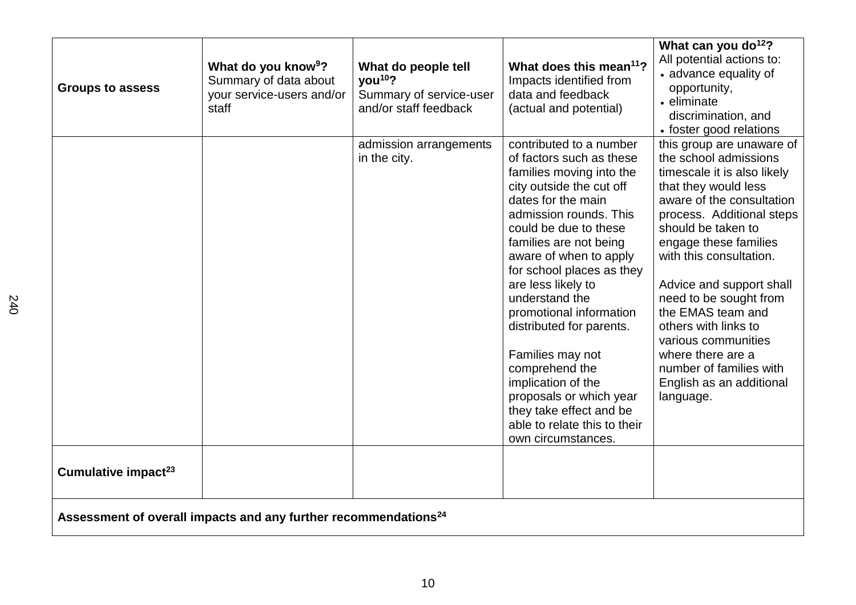| <b>Groups to assess</b>         | What do you know <sup>9</sup> ?<br>Summary of data about<br>your service-users and/or<br>staff | What do people tell<br>you <sup>10</sup> ?<br>Summary of service-user<br>and/or staff feedback | What does this mean <sup>11</sup> ?<br>Impacts identified from<br>data and feedback<br>(actual and potential)                                                                                                                                                                                                                                                                                                                                                                                                                                | What can you do <sup>12</sup> ?<br>All potential actions to:<br>• advance equality of<br>opportunity,<br>• eliminate<br>discrimination, and<br>• foster good relations                                                                                                                                                                                                                                                                                           |
|---------------------------------|------------------------------------------------------------------------------------------------|------------------------------------------------------------------------------------------------|----------------------------------------------------------------------------------------------------------------------------------------------------------------------------------------------------------------------------------------------------------------------------------------------------------------------------------------------------------------------------------------------------------------------------------------------------------------------------------------------------------------------------------------------|------------------------------------------------------------------------------------------------------------------------------------------------------------------------------------------------------------------------------------------------------------------------------------------------------------------------------------------------------------------------------------------------------------------------------------------------------------------|
|                                 |                                                                                                | admission arrangements<br>in the city.                                                         | contributed to a number<br>of factors such as these<br>families moving into the<br>city outside the cut off<br>dates for the main<br>admission rounds. This<br>could be due to these<br>families are not being<br>aware of when to apply<br>for school places as they<br>are less likely to<br>understand the<br>promotional information<br>distributed for parents.<br>Families may not<br>comprehend the<br>implication of the<br>proposals or which year<br>they take effect and be<br>able to relate this to their<br>own circumstances. | this group are unaware of<br>the school admissions<br>timescale it is also likely<br>that they would less<br>aware of the consultation<br>process. Additional steps<br>should be taken to<br>engage these families<br>with this consultation.<br>Advice and support shall<br>need to be sought from<br>the EMAS team and<br>others with links to<br>various communities<br>where there are a<br>number of families with<br>English as an additional<br>language. |
| Cumulative impact <sup>23</sup> |                                                                                                |                                                                                                |                                                                                                                                                                                                                                                                                                                                                                                                                                                                                                                                              |                                                                                                                                                                                                                                                                                                                                                                                                                                                                  |
|                                 | Assessment of overall impacts and any further recommendations <sup>24</sup>                    |                                                                                                |                                                                                                                                                                                                                                                                                                                                                                                                                                                                                                                                              |                                                                                                                                                                                                                                                                                                                                                                                                                                                                  |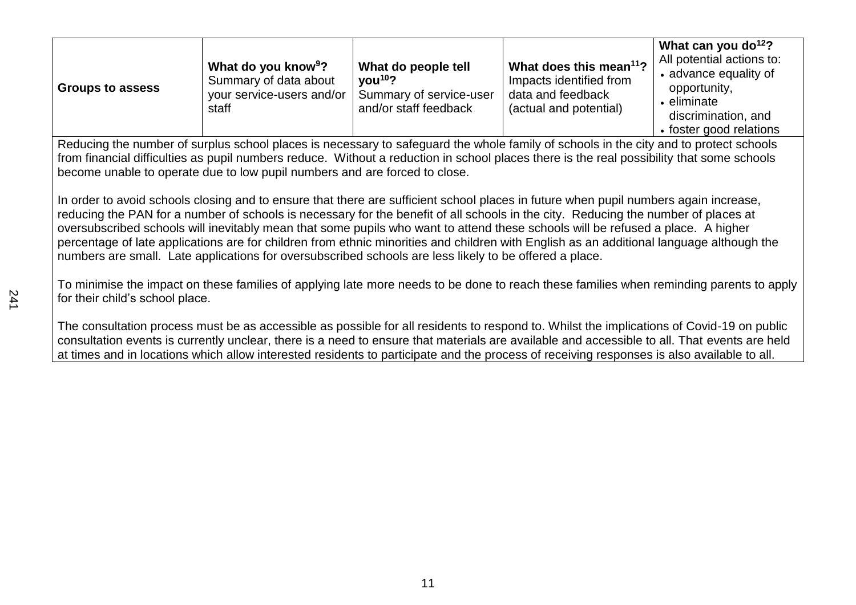| <b>Groups to assess</b>                                                                                                                                                                                                                                                                                                                                                                                                                                                                                                                                                                                                                                             | What do you know <sup>9</sup> ?<br>Summary of data about<br>your service-users and/or<br>staff | What do people tell<br>you <sup>10</sup> ?<br>Summary of service-user<br>and/or staff feedback | What does this mean <sup>11</sup> ?<br>Impacts identified from<br>data and feedback<br>(actual and potential) | What can you do <sup>12</sup> ?<br>All potential actions to:<br>• advance equality of<br>opportunity,<br>• eliminate<br>discrimination, and<br>• foster good relations |
|---------------------------------------------------------------------------------------------------------------------------------------------------------------------------------------------------------------------------------------------------------------------------------------------------------------------------------------------------------------------------------------------------------------------------------------------------------------------------------------------------------------------------------------------------------------------------------------------------------------------------------------------------------------------|------------------------------------------------------------------------------------------------|------------------------------------------------------------------------------------------------|---------------------------------------------------------------------------------------------------------------|------------------------------------------------------------------------------------------------------------------------------------------------------------------------|
| Reducing the number of surplus school places is necessary to safeguard the whole family of schools in the city and to protect schools<br>from financial difficulties as pupil numbers reduce. Without a reduction in school places there is the real possibility that some schools<br>become unable to operate due to low pupil numbers and are forced to close.                                                                                                                                                                                                                                                                                                    |                                                                                                |                                                                                                |                                                                                                               |                                                                                                                                                                        |
| In order to avoid schools closing and to ensure that there are sufficient school places in future when pupil numbers again increase,<br>reducing the PAN for a number of schools is necessary for the benefit of all schools in the city. Reducing the number of places at<br>oversubscribed schools will inevitably mean that some pupils who want to attend these schools will be refused a place. A higher<br>percentage of late applications are for children from ethnic minorities and children with English as an additional language although the<br>numbers are small. Late applications for oversubscribed schools are less likely to be offered a place. |                                                                                                |                                                                                                |                                                                                                               |                                                                                                                                                                        |

To minimise the impact on these families of applying late more needs to be done to reach these families when reminding parents to apply for their child's school place.

The consultation process must be as accessible as possible for all residents to respond to. Whilst the implications of Covid-19 on public consultation events is currently unclear, there is a need to ensure that materials are available and accessible to all. That events are held at times and in locations which allow interested residents to participate and the process of receiving responses is also available to all.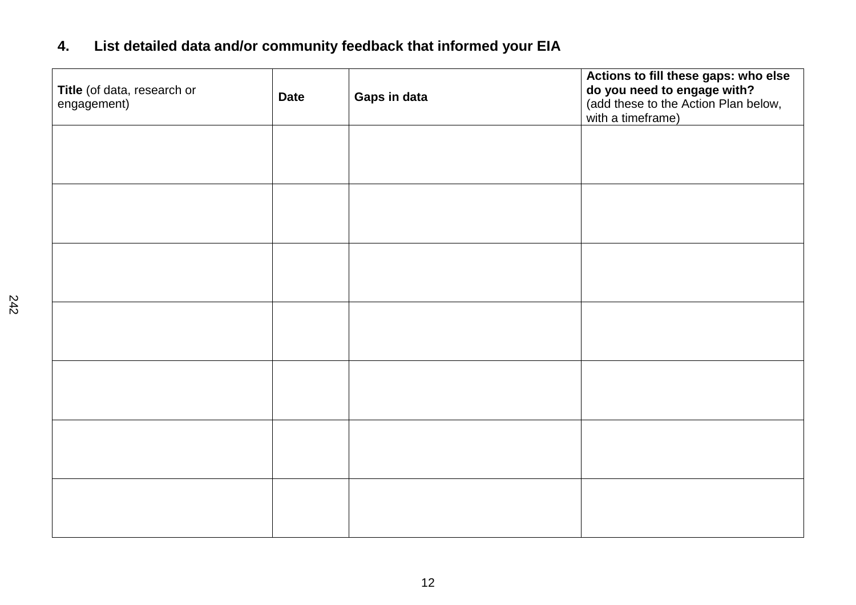# **4. List detailed data and/or community feedback that informed your EIA**

| Title (of data, research or<br>engagement) | <b>Date</b> | Gaps in data | Actions to fill these gaps: who else<br>do you need to engage with?<br>(add these to the Action Plan below,<br>with a timeframe) |
|--------------------------------------------|-------------|--------------|----------------------------------------------------------------------------------------------------------------------------------|
|                                            |             |              |                                                                                                                                  |
|                                            |             |              |                                                                                                                                  |
|                                            |             |              |                                                                                                                                  |
|                                            |             |              |                                                                                                                                  |
|                                            |             |              |                                                                                                                                  |
|                                            |             |              |                                                                                                                                  |
|                                            |             |              |                                                                                                                                  |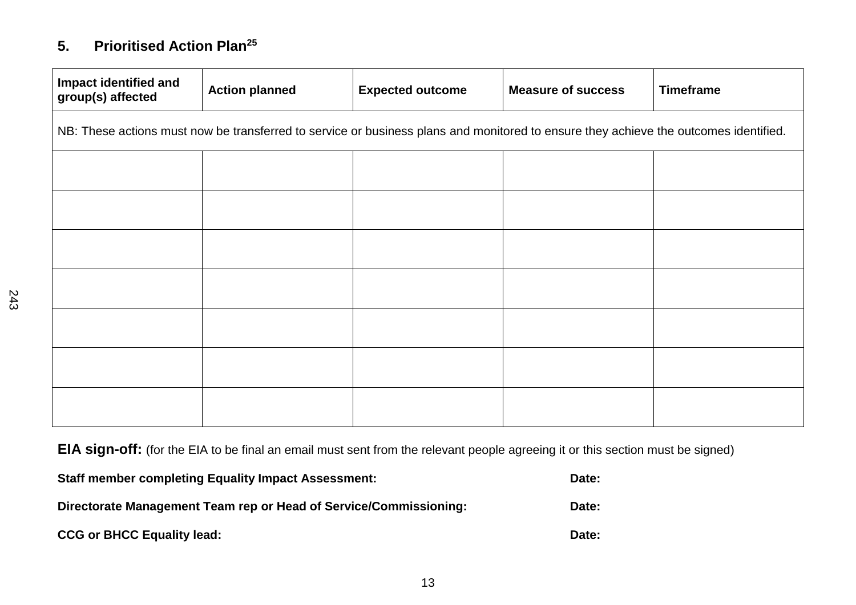# **5. Prioritised Action Plan<sup>25</sup>**

| Impact identified and<br>group(s) affected                                                                                           | <b>Action planned</b> | <b>Expected outcome</b> | <b>Measure of success</b> | <b>Timeframe</b> |  |
|--------------------------------------------------------------------------------------------------------------------------------------|-----------------------|-------------------------|---------------------------|------------------|--|
| NB: These actions must now be transferred to service or business plans and monitored to ensure they achieve the outcomes identified. |                       |                         |                           |                  |  |
|                                                                                                                                      |                       |                         |                           |                  |  |
|                                                                                                                                      |                       |                         |                           |                  |  |
|                                                                                                                                      |                       |                         |                           |                  |  |
|                                                                                                                                      |                       |                         |                           |                  |  |
|                                                                                                                                      |                       |                         |                           |                  |  |
|                                                                                                                                      |                       |                         |                           |                  |  |
|                                                                                                                                      |                       |                         |                           |                  |  |

**EIA sign-off:** (for the EIA to be final an email must sent from the relevant people agreeing it or this section must be signed)

| <b>Staff member completing Equality Impact Assessment:</b>        | Date: |
|-------------------------------------------------------------------|-------|
| Directorate Management Team rep or Head of Service/Commissioning: | Date: |
| <b>CCG or BHCC Equality lead:</b>                                 | Date: |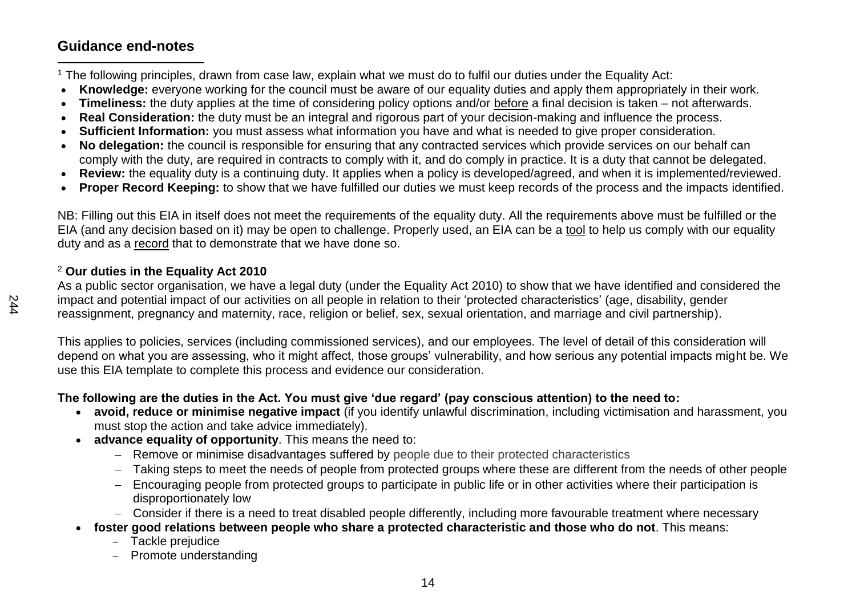## **Guidance end-notes**

 $\overline{a}$ <sup>1</sup> The following principles, drawn from case law, explain what we must do to fulfil our duties under the Equality Act:

- **Knowledge:** everyone working for the council must be aware of our equality duties and apply them appropriately in their work.
- **Timeliness:** the duty applies at the time of considering policy options and/or before a final decision is taken not afterwards.
- **Real Consideration:** the duty must be an integral and rigorous part of your decision-making and influence the process.
- **Sufficient Information:** you must assess what information you have and what is needed to give proper consideration.
- **No delegation:** the council is responsible for ensuring that any contracted services which provide services on our behalf can comply with the duty, are required in contracts to comply with it, and do comply in practice. It is a duty that cannot be delegated.
- **Review:** the equality duty is a continuing duty. It applies when a policy is developed/agreed, and when it is implemented/reviewed.
- **Proper Record Keeping:** to show that we have fulfilled our duties we must keep records of the process and the impacts identified.

NB: Filling out this EIA in itself does not meet the requirements of the equality duty. All the requirements above must be fulfilled or the EIA (and any decision based on it) may be open to challenge. Properly used, an EIA can be a tool to help us comply with our equality duty and as a record that to demonstrate that we have done so.

### <sup>2</sup> **Our duties in the Equality Act 2010**

As a public sector organisation, we have a legal duty (under the Equality Act 2010) to show that we have identified and considered the impact and potential impact of our activities on all people in relation to their 'protected characteristics' (age, disability, gender reassignment, pregnancy and maternity, race, religion or belief, sex, sexual orientation, and marriage and civil partnership).

This applies to policies, services (including commissioned services), and our employees. The level of detail of this consideration will depend on what you are assessing, who it might affect, those groups' vulnerability, and how serious any potential impacts might be. We use this EIA template to complete this process and evidence our consideration.

### **The following are the duties in the Act. You must give 'due regard' (pay conscious attention) to the need to:**

- **avoid, reduce or minimise negative impact** (if you identify unlawful discrimination, including victimisation and harassment, you must stop the action and take advice immediately).
- **advance equality of opportunity**. This means the need to:
	- − Remove or minimise disadvantages suffered by people due to their protected characteristics
	- − Taking steps to meet the needs of people from protected groups where these are different from the needs of other people
	- − Encouraging people from protected groups to participate in public life or in other activities where their participation is disproportionately low
	- − Consider if there is a need to treat disabled people differently, including more favourable treatment where necessary
- **foster good relations between people who share a protected characteristic and those who do not**. This means:
	- − Tackle prejudice
	- − Promote understanding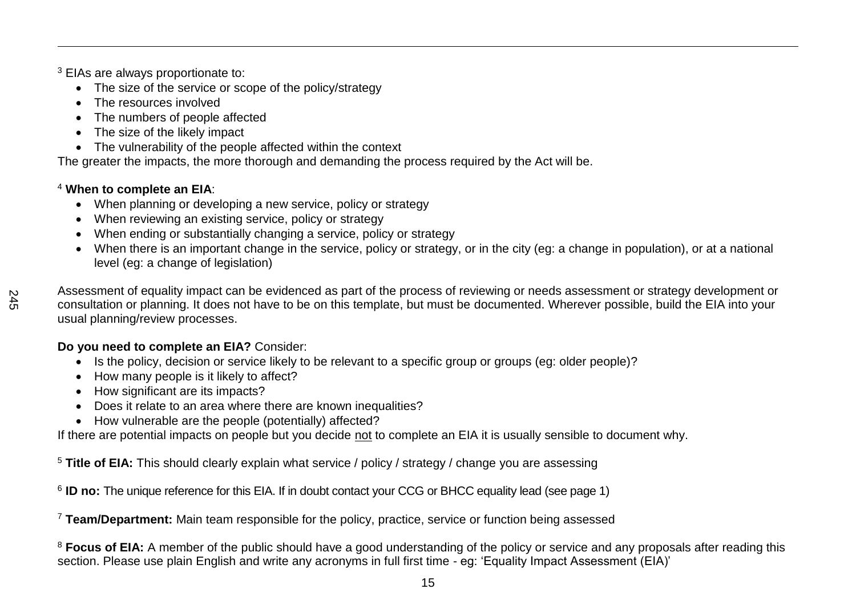<sup>3</sup> EIAs are always proportionate to:

- The size of the service or scope of the policy/strategy
- The resources involved
- The numbers of people affected
- The size of the likely impact
- The vulnerability of the people affected within the context

The greater the impacts, the more thorough and demanding the process required by the Act will be.

### <sup>4</sup> **When to complete an EIA**:

- When planning or developing a new service, policy or strategy
- When reviewing an existing service, policy or strategy
- When ending or substantially changing a service, policy or strategy
- When there is an important change in the service, policy or strategy, or in the city (eg: a change in population), or at a national level (eg: a change of legislation)

 $\overline{a}$ 

Assessment of equality impact can be evidenced as part of the process of reviewing or needs assessment or strategy development or consultation or planning. It does not have to be on this template, but must be documented. Wherever possible, build the EIA into your usual planning/review processes.

## **Do you need to complete an EIA?** Consider:

- Is the policy, decision or service likely to be relevant to a specific group or groups (eg: older people)?
- How many people is it likely to affect?
- How significant are its impacts?
- Does it relate to an area where there are known inequalities?
- How vulnerable are the people (potentially) affected?

If there are potential impacts on people but you decide not to complete an EIA it is usually sensible to document why.

<sup>5</sup> **Title of EIA:** This should clearly explain what service / policy / strategy / change you are assessing

<sup>6</sup> ID no: The unique reference for this EIA. If in doubt contact your CCG or BHCC equality lead (see page 1)

<sup>7</sup> **Team/Department:** Main team responsible for the policy, practice, service or function being assessed

<sup>8</sup> Focus of EIA: A member of the public should have a good understanding of the policy or service and any proposals after reading this section. Please use plain English and write any acronyms in full first time - eg: 'Equality Impact Assessment (EIA)'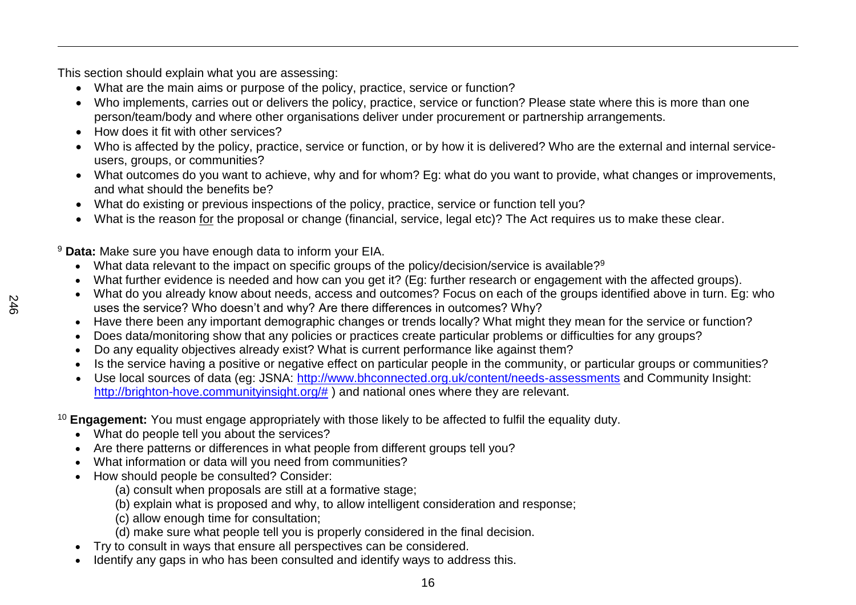This section should explain what you are assessing:

- What are the main aims or purpose of the policy, practice, service or function?
- Who implements, carries out or delivers the policy, practice, service or function? Please state where this is more than one person/team/body and where other organisations deliver under procurement or partnership arrangements.
- How does it fit with other services?
- Who is affected by the policy, practice, service or function, or by how it is delivered? Who are the external and internal serviceusers, groups, or communities?
- What outcomes do you want to achieve, why and for whom? Eg: what do you want to provide, what changes or improvements, and what should the benefits be?
- What do existing or previous inspections of the policy, practice, service or function tell you?
- What is the reason for the proposal or change (financial, service, legal etc)? The Act requires us to make these clear.

<sup>9</sup> **Data:** Make sure you have enough data to inform your EIA.

- What data relevant to the impact on specific groups of the policy/decision/service is available?<sup>9</sup>
- What further evidence is needed and how can you get it? (Eg: further research or engagement with the affected groups).
- What do you already know about needs, access and outcomes? Focus on each of the groups identified above in turn. Eg: who uses the service? Who doesn't and why? Are there differences in outcomes? Why?
- Have there been any important demographic changes or trends locally? What might they mean for the service or function?
- Does data/monitoring show that any policies or practices create particular problems or difficulties for any groups?
- Do any equality objectives already exist? What is current performance like against them?
- Is the service having a positive or negative effect on particular people in the community, or particular groups or communities?
- Use local sources of data (eg: JSNA:<http://www.bhconnected.org.uk/content/needs-assessments> and Community Insight: [http://brighton-hove.communityinsight.org/#](http://brighton-hove.communityinsight.org/) ) and national ones where they are relevant.
- <sup>10</sup> **Engagement:** You must engage appropriately with those likely to be affected to fulfil the equality duty.
	- What do people tell you about the services?
	- Are there patterns or differences in what people from different groups tell you?
	- What information or data will you need from communities?
	- How should people be consulted? Consider:
		- (a) consult when proposals are still at a formative stage;
		- (b) explain what is proposed and why, to allow intelligent consideration and response;
		- (c) allow enough time for consultation;
		- (d) make sure what people tell you is properly considered in the final decision.
	- Try to consult in ways that ensure all perspectives can be considered.
	- Identify any gaps in who has been consulted and identify ways to address this.

 $\overline{a}$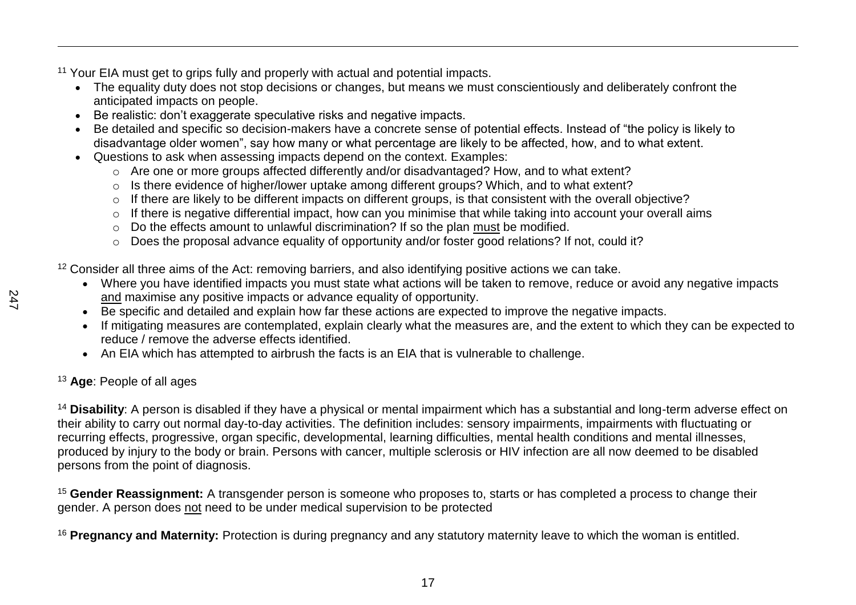<sup>11</sup> Your EIA must get to grips fully and properly with actual and potential impacts.

- The equality duty does not stop decisions or changes, but means we must conscientiously and deliberately confront the anticipated impacts on people.
- Be realistic: don't exaggerate speculative risks and negative impacts.
- Be detailed and specific so decision-makers have a concrete sense of potential effects. Instead of "the policy is likely to disadvantage older women", say how many or what percentage are likely to be affected, how, and to what extent.
- Questions to ask when assessing impacts depend on the context. Examples:
	- o Are one or more groups affected differently and/or disadvantaged? How, and to what extent?
	- o Is there evidence of higher/lower uptake among different groups? Which, and to what extent?
	- o If there are likely to be different impacts on different groups, is that consistent with the overall objective?
	- o If there is negative differential impact, how can you minimise that while taking into account your overall aims
	- o Do the effects amount to unlawful discrimination? If so the plan must be modified.
	- o Does the proposal advance equality of opportunity and/or foster good relations? If not, could it?

<sup>12</sup> Consider all three aims of the Act: removing barriers, and also identifying positive actions we can take.

- Where you have identified impacts you must state what actions will be taken to remove, reduce or avoid any negative impacts and maximise any positive impacts or advance equality of opportunity.
- Be specific and detailed and explain how far these actions are expected to improve the negative impacts.
- If mitigating measures are contemplated, explain clearly what the measures are, and the extent to which they can be expected to reduce / remove the adverse effects identified.
- An EIA which has attempted to airbrush the facts is an EIA that is vulnerable to challenge.

## <sup>13</sup> **Age**: People of all ages

<sup>14</sup> Disability: A person is disabled if they have a physical or mental impairment which has a substantial and long-term adverse effect on their ability to carry out normal day-to-day activities. The definition includes: sensory impairments, impairments with fluctuating or recurring effects, progressive, organ specific, developmental, learning difficulties, mental health conditions and mental illnesses, produced by injury to the body or brain. Persons with cancer, multiple sclerosis or HIV infection are all now deemed to be disabled persons from the point of diagnosis.

<sup>15</sup> **Gender Reassignment:** A transgender person is someone who proposes to, starts or has completed a process to change their gender. A person does not need to be under medical supervision to be protected

<sup>16</sup> **Pregnancy and Maternity:** Protection is during pregnancy and any statutory maternity leave to which the woman is entitled.

 $\overline{a}$